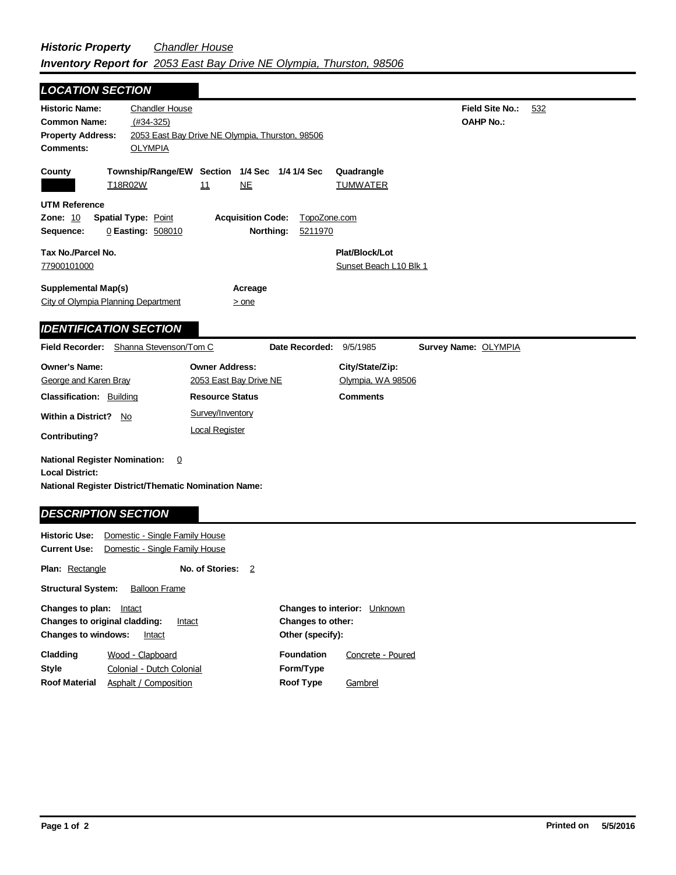| <b>LOCATION SECTION</b>                                                                                                |                                                 |                                      |                                            |     |
|------------------------------------------------------------------------------------------------------------------------|-------------------------------------------------|--------------------------------------|--------------------------------------------|-----|
| <b>Chandler House</b><br><b>Historic Name:</b><br><b>Common Name:</b><br>$(H34-325)$                                   |                                                 |                                      | <b>Field Site No.:</b><br><b>OAHP No.:</b> | 532 |
| <b>Property Address:</b><br><b>OLYMPIA</b><br><b>Comments:</b>                                                         | 2053 East Bay Drive NE Olympia, Thurston, 98506 |                                      |                                            |     |
|                                                                                                                        |                                                 |                                      |                                            |     |
| County                                                                                                                 | Township/Range/EW Section 1/4 Sec 1/4 1/4 Sec   | Quadrangle                           |                                            |     |
| T18R02W                                                                                                                | 11<br><b>NE</b>                                 | <b>TUMWATER</b>                      |                                            |     |
| <b>UTM Reference</b>                                                                                                   |                                                 |                                      |                                            |     |
| Zone: 10<br><b>Spatial Type: Point</b><br>0 Easting: 508010                                                            | <b>Acquisition Code:</b>                        | TopoZone.com<br>Northing:<br>5211970 |                                            |     |
| Sequence:                                                                                                              |                                                 |                                      |                                            |     |
| Tax No./Parcel No.                                                                                                     |                                                 | Plat/Block/Lot                       |                                            |     |
| 77900101000                                                                                                            |                                                 |                                      | Sunset Beach L10 Blk 1                     |     |
| <b>Supplemental Map(s)</b>                                                                                             | Acreage                                         |                                      |                                            |     |
| City of Olympia Planning Department                                                                                    | $>$ one                                         |                                      |                                            |     |
|                                                                                                                        |                                                 |                                      |                                            |     |
|                                                                                                                        |                                                 |                                      |                                            |     |
| <b>IDENTIFICATION SECTION</b>                                                                                          |                                                 |                                      |                                            |     |
| Field Recorder: Shanna Stevenson/Tom C                                                                                 |                                                 | Date Recorded: 9/5/1985              | Survey Name: OLYMPIA                       |     |
| <b>Owner's Name:</b>                                                                                                   | <b>Owner Address:</b>                           |                                      | City/State/Zip:                            |     |
| George and Karen Bray                                                                                                  | 2053 East Bay Drive NE                          |                                      | Olympia, WA 98506                          |     |
| <b>Classification: Building</b>                                                                                        | <b>Resource Status</b>                          | <b>Comments</b>                      |                                            |     |
| <b>Within a District?</b><br>No                                                                                        | Survey/Inventory                                |                                      |                                            |     |
| <b>Contributing?</b>                                                                                                   | <b>Local Register</b>                           |                                      |                                            |     |
| <b>National Register Nomination:</b><br><b>Local District:</b><br>National Register District/Thematic Nomination Name: | 0                                               |                                      |                                            |     |
| <b>DESCRIPTION SECTION</b>                                                                                             |                                                 |                                      |                                            |     |

|                                                                                 | <b>Current Use:</b> Domestic - Single Family House |                 |    |                                              |                                     |
|---------------------------------------------------------------------------------|----------------------------------------------------|-----------------|----|----------------------------------------------|-------------------------------------|
| <b>Plan:</b> Rectangle                                                          |                                                    | No. of Stories: | -2 |                                              |                                     |
| <b>Structural System:</b>                                                       | <b>Balloon Frame</b>                               |                 |    |                                              |                                     |
| Changes to plan:<br>Changes to original cladding:<br><b>Changes to windows:</b> | Intact<br>Intact                                   | Intact          |    | <b>Changes to other:</b><br>Other (specify): | <b>Changes to interior:</b> Unknown |
| Cladding                                                                        | Wood - Clapboard                                   |                 |    | <b>Foundation</b>                            | Concrete - Poured                   |
| <b>Style</b>                                                                    | Colonial - Dutch Colonial                          |                 |    | Form/Type                                    |                                     |
| <b>Roof Material</b>                                                            | Asphalt / Composition                              |                 |    | <b>Roof Type</b>                             | Gambrel                             |

 $\blacksquare$